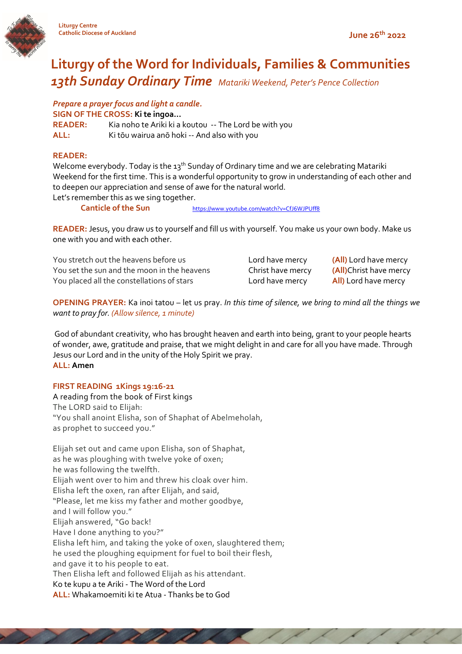



# **Liturgy of the Word for Individuals, Families & Communities** *13th Sunday Ordinary Time Matariki Weekend, Peter's Pence Collection*

*Prepare a prayer focus and light a candle.*

**SIGN OF THE CROSS: Ki te ingoa…**

**READER:** Kia noho te Ariki ki a koutou -- The Lord be with you **ALL:** Ki tōu wairua anō hoki -- And also with you

## **READER:**

Welcome everybody. Today is the 13<sup>th</sup> Sunday of Ordinary time and we are celebrating Matariki Weekend for the first time. This is a wonderful opportunity to grow in understanding of each other and to deepen our appreciation and sense of awe for the natural world.

Let's remember this as we sing together.

**Canticle of the Sun** <https://www.youtube.com/watch?v=CfJ6WJPUff8>

**READER:** Jesus, you draw us to yourself and fill us with yourself. You make us your own body. Make us one with you and with each other.

You stretch out the heavens before us Lord have mercy **(All)** Lord have mercy You set the sun and the moon in the heavens Christ have mercy **(All)**Christ have mercy You placed all the constellations 0f stars Lord have mercy **All)** Lord have mercy

**OPENING PRAYER:** Ka inoi tatou – let us pray. *In this time of silence, we bring to mind all the things we want to pray for. (Allow silence, 1 minute)*

God of abundant creativity, who has brought heaven and earth into being, grant to your people hearts of wonder, awe, gratitude and praise, that we might delight in and care for all you have made. Through Jesus our Lord and in the unity of the Holy Spirit we pray. **ALL: Amen**

## **FIRST READING 1Kings 19:16-21**

A reading from the book of First kings The LORD said to Elijah: "You shall anoint Elisha, son of Shaphat of Abelmeholah, as prophet to succeed you."

Elijah set out and came upon Elisha, son of Shaphat, as he was ploughing with twelve yoke of oxen; he was following the twelfth. Elijah went over to him and threw his cloak over him. Elisha left the oxen, ran after Elijah, and said, "Please, let me kiss my father and mother goodbye, and I will follow you." Elijah answered, "Go back! Have I done anything to you?" Elisha left him, and taking the yoke of oxen, slaughtered them; he used the ploughing equipment for fuel to boil their flesh, and gave it to his people to eat. Then Elisha left and followed Elijah as his attendant. Ko te kupu a te Ariki - The Word of the Lord **ALL:** Whakamoemiti ki te Atua - Thanks be to God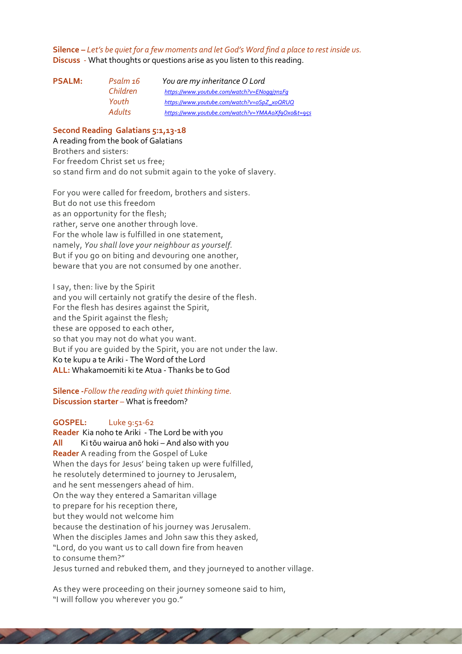**Silence –** *Let's be quiet for a few moments and let God's Word find a place to rest inside us.*  **Discuss** - What thoughts or questions arise as you listen to this reading.

| Psalm 16      | You are my inheritance O Lord                     |
|---------------|---------------------------------------------------|
| Children      | https://www.youtube.com/watch?v=ENoggj7n1Fq       |
| Youth         | https://www.youtube.com/watch?v=oSpZ_xoQRUQ       |
| <b>Adults</b> | https://www.youtube.com/watch?v=YMAAoXf9Oxo&t=95s |
|               |                                                   |

#### **Second Reading Galatians 5:1,13-18**

A reading from the book of Galatians Brothers and sisters: For freedom Christ set us free; so stand firm and do not submit again to the yoke of slavery.

For you were called for freedom, brothers and sisters. But do not use this freedom as an opportunity for the flesh; rather, serve one another through love. For the whole law is fulfilled in one statement, namely, *You shall love your neighbour as yourself.* But if you go on biting and devouring one another, beware that you are not consumed by one another.

I say, then: live by the Spirit and you will certainly not gratify the desire of the flesh. For the flesh has desires against the Spirit, and the Spirit against the flesh; these are opposed to each other, so that you may not do what you want. But if you are guided by the Spirit, you are not under the law. Ko te kupu a te Ariki - The Word of the Lord **ALL:** Whakamoemiti ki te Atua - Thanks be to God

**Silence -***Follow the reading with quiet thinking time.*  **Discussion starter** – What is freedom?

### **GOSPEL:** Luke 9:51-62

**Reader** Kia noho te Ariki - The Lord be with you **All** Ki tōu wairua anō hoki – And also with you **Reader** A reading from the Gospel of Luke When the days for Jesus' being taken up were fulfilled, he resolutely determined to journey to Jerusalem, and he sent messengers ahead of him. On the way they entered a Samaritan village to prepare for his reception there, but they would not welcome him because the destination of his journey was Jerusalem. When the disciples James and John saw this they asked, "Lord, do you want us to call down fire from heaven to consume them?" Jesus turned and rebuked them, and they journeyed to another village.

As they were proceeding on their journey someone said to him, "I will follow you wherever you go."

 $\overline{\phantom{a}}$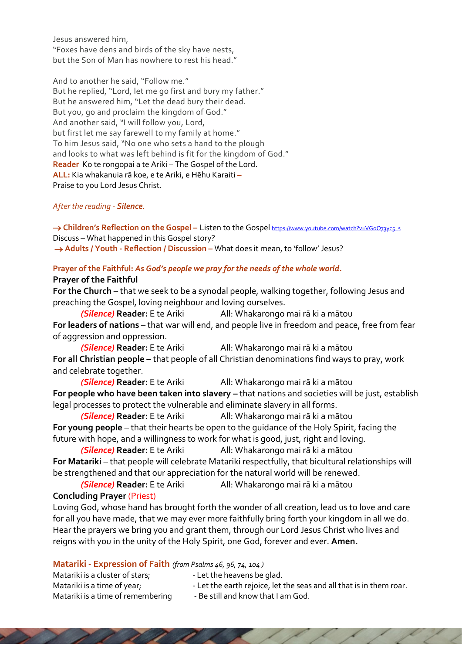Jesus answered him, "Foxes have dens and birds of the sky have nests, but the Son of Man has nowhere to rest his head."

And to another he said, "Follow me." But he replied, "Lord, let me go first and bury my father." But he answered him, "Let the dead bury their dead. But you, go and proclaim the kingdom of God." And another said, "I will follow you, Lord, but first let me say farewell to my family at home." To him Jesus said, "No one who sets a hand to the plough and looks to what was left behind is fit for the kingdom of God." **Reader** Ko te rongopai a te Ariki – The Gospel of the Lord. **ALL:** Kia whakanuia rā koe, e te Ariki, e Hēhu Karaiti **–** Praise to you Lord Jesus Christ.

# *After the reading - Silence.*

→ **Children's Reflection on the Gospel** – Listen to the Gospel https://www.youtube.com/watch?v=VGoO73ycs\_s Discuss – What happened in this Gospel story? → **Adults** / Youth - Reflection / Discussion – What does it mean, to 'follow' Jesus?

### **Prayer of the Faithful:** *As God's people we pray for the needs of the whole world.*  **Prayer of the Faithful**

**For the Church** – that we seek to be a synodal people, walking together, following Jesus and preaching the Gospel, loving neighbour and loving ourselves.

*(Silence)* **Reader:** E te Ariki All: Whakarongo mai rā ki a mātou **For leaders of nations** – that war will end, and people live in freedom and peace, free from fear of aggression and oppression.

*(Silence)* **Reader:** E te Ariki All: Whakarongo mai rā ki a mātou **For all Christian people –** that people of all Christian denominations find ways to pray, work and celebrate together.

*(Silence)* **Reader:** E te Ariki All: Whakarongo mai rā ki a mātou **For people who have been taken into slavery –** that nations and societies will be just, establish legal processes to protect the vulnerable and eliminate slavery in all forms.

*(Silence)* **Reader:** E te Ariki All: Whakarongo mai rā ki a mātou **For young people** – that their hearts be open to the guidance of the Holy Spirit, facing the future with hope, and a willingness to work for what is good, just, right and loving.

*(Silence)* **Reader:** E te Ariki All: Whakarongo mai rā ki a mātou **For Matariki** – that people will celebrate Matariki respectfully, that bicultural relationships will be strengthened and that our appreciation for the natural world will be renewed.

*(Silence)* **Reader:** E te Ariki All: Whakarongo mai rā ki a mātou

# **Concluding Prayer** (Priest)

Loving God, whose hand has brought forth the wonder of all creation, lead us to love and care for all you have made, that we may ever more faithfully bring forth your kingdom in all we do. Hear the prayers we bring you and grant them, through our Lord Jesus Christ who lives and reigns with you in the unity of the Holy Spirit, one God, forever and ever. **Amen.**

| Matariki - Expression of Faith (from Psalms 46, 96, 74, 104) |  |
|--------------------------------------------------------------|--|
|--------------------------------------------------------------|--|

and the state of the state of the state of

| Matariki is a cluster of stars;   | - Let the heavens be glad.                                          |
|-----------------------------------|---------------------------------------------------------------------|
| Matariki is a time of year;       | - Let the earth rejoice, let the seas and all that is in them roar. |
| Matariki is a time of remembering | - Be still and know that I am God.                                  |